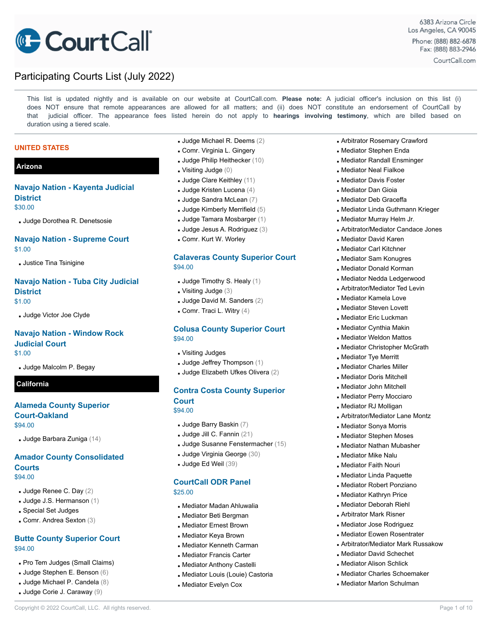

This list is updated nightly and is available on our website at CourtCall.com. **Please note:** A judicial officer's inclusion on this list (i) does NOT ensure that remote appearances are allowed for all matters; and (ii) does NOT constitute an endorsement of CourtCall by that judicial officer. The appearance fees listed herein do not apply to **hearings involving testimony**, which are billed based on duration using a tiered scale.

#### **UNITED STATES**

### **Arizona**

# **Navajo Nation - Kayenta Judicial District**

\$30.00

▪ Judge Dorothea R. Denetsosie

### **Navajo Nation - Supreme Court** \$1.00

**Justice Tina Tsinigine** 

### **Navajo Nation - Tuba City Judicial District** \$1.00

▪ Judge Victor Joe Clyde

### **Navajo Nation - Window Rock Judicial Court**

\$1.00

**Judge Malcolm P. Begay** 

### **California**

### **Alameda County Superior Court-Oakland** \$94.00

▪ Judge Barbara Zuniga (14)

### **Amador County Consolidated Courts** \$94.00

- Judge Renee C. Day (2)
- Judge J.S. Hermanson (1)
- Special Set Judges
- Comr. Andrea Sexton (3)

### **Butte County Superior Court** \$94.00

- . Pro Tem Judges (Small Claims)
- Judge Stephen E. Benson (6)
- Judge Michael P. Candela (8)
- Judge Corie J. Caraway (9)
- Judge Michael R. Deems (2)
- Comr. Virginia L. Gingery
- Judge Philip Heithecker (10)
- $\blacksquare$  Visiting Judge  $(0)$
- Judge Clare Keithley (11)
- **Judge Kristen Lucena** (4)
- Judge Sandra McLean (7)
- $\blacksquare$  Judge Kimberly Merrifield  $(5)$
- Judge Tamara Mosbarger (1)
- Judge Jesus A. Rodriguez (3)
- **Comr. Kurt W. Worley**

### **Calaveras County Superior Court** \$94.00

- Judge Timothy S. Healy (1)
- $\blacksquare$  Visiting Judge (3)
- Judge David M. Sanders (2)
- $\blacksquare$  Comr. Traci L. Witry  $(4)$

### **Colusa County Superior Court** \$94.00

- Visiting Judges
- $\blacksquare$  Judge Jeffrey Thompson (1)
- Judge Elizabeth Ufkes Olivera (2)

### **Contra Costa County Superior Court**

\$94.00

- Judge Barry Baskin (7)
- Judge Jill C. Fannin (21)
- Judge Susanne Fenstermacher (15)
- Judge Virginia George (30)
- Judge Ed Weil (39)

### **CourtCall ODR Panel**

\$25.00

- Mediator Madan Ahluwalia
- **.** Mediator Beti Bergman
- **. Mediator Ernest Brown**
- **.** Mediator Keya Brown
- **Inducator Kenneth Carman**
- **. Mediator Francis Carter**
- **. Mediator Anthony Castelli**
- **. Mediator Louis (Louie) Castoria**

Copyright © 2022 CourtCall, LLC. All rights reserved. **Page 1 of 10** and the served of 10 and the served.

**. Mediator Evelyn Cox** 

- **Arbitrator Rosemary Crawford**
- **. Mediator Stephen Enda**
- **. Mediator Randall Ensminger**
- **.** Mediator Neal Fialkoe
- **. Mediator Davis Foster**
- **. Mediator Dan Gioia**
- **. Mediator Deb Graceffa**
- **. Mediator Linda Guthmann Krieger**
- **. Mediator Murray Helm Jr.**
- Arbitrator/Mediator Candace Jones
- **. Mediator David Karen**
- **. Mediator Carl Kitchner**
- **Industry Sam Konugres**
- **. Mediator Donald Korman**
- **.** Mediator Nedda Ledgerwood
- **Arbitrator/Mediator Ted Levin**
- **.** Mediator Kamela Love
- **. Mediator Steven Lovett**
- **. Mediator Eric Luckman**
- **. Mediator Cynthia Makin**
- **. Mediator Weldon Mattos**
- **. Mediator Christopher McGrath**
- **. Mediator Tye Merritt**
- **. Mediator Charles Miller**
- **. Mediator Doris Mitchell**
- **. Mediator John Mitchell**
- **. Mediator Perry Mocciaro**
- **.** Mediator RJ Molligan
- **Arbitrator/Mediator Lane Montz**
- **. Mediator Sonya Morris**

**. Mediator Mike Nalu . Mediator Faith Nouri .** Mediator Linda Paquette **.** Mediator Robert Ponziano **. Mediator Kathryn Price . Mediator Deborah Riehl Arbitrator Mark Risner** ▪ Mediator Jose Rodriguez **. Mediator Eowen Rosentrater Arbitrator/Mediator Mark Russakow** 

**In Mediator Stephen Moses . Mediator Nathan Mubasher** 

**. Mediator David Schechet . Mediator Alison Schlick** ▪ Mediator Charles Schoemaker **. Mediator Marlon Schulman**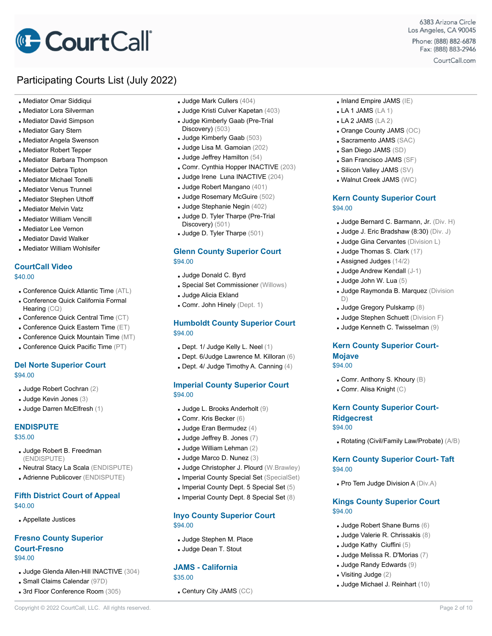# **CourtCall**

# Participating Courts List (July 2022)

- Mediator Omar Siddiqui
- **.** Mediator Lora Silverman
- **. Mediator David Simpson**
- Mediator Gary Stern
- **. Mediator Angela Swenson**
- **. Mediator Robert Tepper**
- **. Mediator Barbara Thompson**
- **.** Mediator Debra Tipton
- **. Mediator Michael Tonelli**
- **. Mediator Venus Trunnel**
- **. Mediator Stephen Uthoff**
- **. Mediator Melvin Vatz**
- **. Mediator William Vencill**
- **.** Mediator Lee Vernon
- **. Mediator David Walker**
- **. Mediator William Wohlsifer**

### **CourtCall Video**

- \$40.00
- Conference Quick Atlantic Time (ATL)
- Conference Quick California Formal Hearing (CQ)
- **. Conference Quick Central Time (CT)**
- **. Conference Quick Eastern Time (ET)**
- Conference Quick Mountain Time (MT)
- Conference Quick Pacific Time (PT)

### **Del Norte Superior Court** \$94.00

- Judge Robert Cochran (2)
- Judge Kevin Jones (3)
- Judge Darren McElfresh (1)

### **ENDISPUTE**

#### \$35.00

- **Judge Robert B. Freedman** (ENDISPUTE)
- Neutral Stacy La Scala (ENDISPUTE)
- Adrienne Publicover (ENDISPUTE)

### **Fifth District Court of Appeal** \$40.00

▪ Appellate Justices

### **Fresno County Superior Court-Fresno** \$94.00

- Judge Glenda Allen-Hill INACTIVE (304)
- Small Claims Calendar (97D)
- **. 3rd Floor Conference Room (305)**
- Judge Mark Cullers (404)
- Judge Kristi Culver Kapetan (403)
- Judge Kimberly Gaab (Pre-Trial Discovery) (503)
- Judge Kimberly Gaab (503)
- Judge Lisa M. Gamoian (202)
- $\blacksquare$  Judge Jeffrey Hamilton (54)
- Comr. Cynthia Hopper INACTIVE (203)
- Judge Irene Luna INACTIVE (204)
- Judge Robert Mangano (401)
- Judge Rosemary McGuire (502)
- Judge Stephanie Negin (402)
- Judge D. Tyler Tharpe (Pre-Trial Discovery) (501)
- **Judge D. Tyler Tharpe (501)**

### **Glenn County Superior Court** \$94.00

- Judge Donald C. Byrd
- **. Special Set Commissioner (Willows)**
- **Judge Alicia Ekland**
- Comr. John Hinely (Dept. 1)

### **Humboldt County Superior Court** \$94.00

- $\blacksquare$  Dept. 1/ Judge Kelly L. Neel (1)
- **Dept. 6/Judge Lawrence M. Killoran (6)**
- **Dept. 4/ Judge Timothy A. Canning**  $(4)$

### **Imperial County Superior Court** \$94.00

- Judge L. Brooks Anderholt (9)
- **Comr. Kris Becker (6)**
- $\blacksquare$  Judge Eran Bermudez (4)
- $\blacksquare$  Judge Jeffrey B. Jones (7)
- Judge William Lehman (2)
- Judge Marco D. Nunez (3)
- Judge Christopher J. Plourd (W.Brawley)
- **Imperial County Special Set** (SpecialSet)
- Imperial County Dept. 5 Special Set (5)
- Imperial County Dept. 8 Special Set (8)

Copyright © 2022 CourtCall, LLC. All rights reserved. **Page 2 of 10** CourtCall, LLC. All rights reserved.

### **Inyo County Superior Court** \$94.00

- **Judge Stephen M. Place**
- Judge Dean T. Stout

### **JAMS - California**

- \$35.00
- **. Century City JAMS (CC)**
- $\blacksquare$  Inland Empire JAMS (IE)
- $\blacksquare$  LA 1 JAMS (LA 1)
- $-LA 2$  JAMS (LA 2)
- $\blacksquare$  Orange County JAMS (OC)

6383 Arizona Circle Los Angeles, CA 90045

Phone: (888) 882-6878 Fax: (888) 883-2946 CourtCall.com

- **Sacramento JAMS (SAC)**
- San Diego JAMS (SD)
- **San Francisco JAMS (SF)**
- **. Silicon Valley JAMS (SV)**
- Walnut Creek JAMS (WC)

### **Kern County Superior Court** \$94.00

- Judge Bernard C. Barmann, Jr. (Div. H)
- **Judge J. Eric Bradshaw**  $(8:30)$  (Div. J)
- **Judge Gina Cervantes (Division L)**
- Judge Thomas S. Clark (17)
- $\blacksquare$  Assigned Judges (14/2)
- Judge Andrew Kendall (J-1)
- $\blacksquare$  Judge John W. Lua (5)

**Mojave** \$94.00

**Ridgecrest** \$94.00

\$94.00

\$94.00

- **Judge Raymonda B. Marquez** (Division D)
- Judge Gregory Pulskamp (8)
- **Judge Stephen Schuett** (Division F) ▪ Judge Kenneth C. Twisselman (9)

**Kern County Superior Court-**

 $\Box$  Comr. Anthony S. Khoury  $(B)$  $\blacksquare$  Comr. Alisa Knight  $(C)$ 

**Kern County Superior Court-**

▪ Rotating (Civil/Family Law/Probate) (A/B)

**Kern County Superior Court- Taft**

 $\blacksquare$  Pro Tem Judge Division A (Div.A)

**Kings County Superior Court**

▪ Judge Robert Shane Burns (6) ▪ Judge Valerie R. Chrissakis (8) **Judge Kathy Ciuffini**  $(5)$ ▪ Judge Melissa R. D'Morias (7) ▪ Judge Randy Edwards (9)

▪ Judge Michael J. Reinhart (10)

 $\blacksquare$  Visiting Judge  $(2)$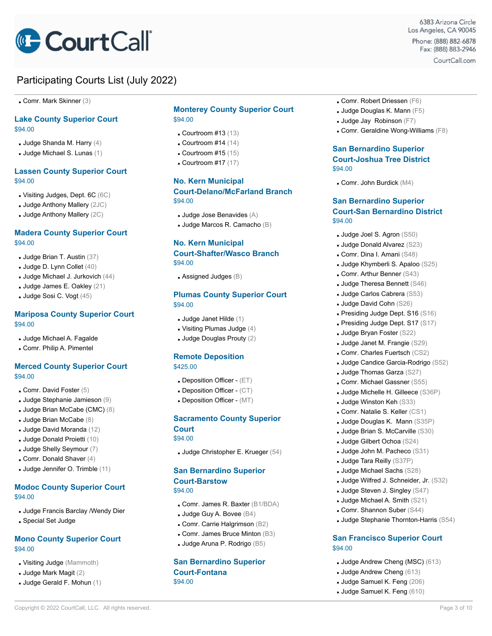

**Comr. Mark Skinner (3)** 

### **Lake County Superior Court** \$94.00

- $\blacksquare$  Judge Shanda M. Harry (4)
- Judge Michael S. Lunas (1)

### **Lassen County Superior Court** \$94.00

- Visiting Judges, Dept. 6C (6C)
- $\blacksquare$  Judge Anthony Mallery (2JC)
- Judge Anthony Mallery (2C)

### **Madera County Superior Court** \$94.00

- Judge Brian T. Austin (37)
- $\blacksquare$  Judge D. Lynn Collet  $(40)$
- Judge Michael J. Jurkovich (44)
- Judge James E. Oakley (21)
- Judge Sosi C. Vogt (45)

### **Mariposa County Superior Court** \$94.00

- **Judge Michael A. Fagalde**
- Comr. Philip A. Pimentel

### **Merced County Superior Court** \$94.00

- $\blacksquare$  Comr. David Foster (5)
- Judge Stephanie Jamieson (9)
- Judge Brian McCabe (CMC) (8)
- Judge Brian McCabe (8)
- Judge David Moranda (12)
- Judge Donald Proietti (10)
- Judge Shelly Seymour (7)
- $\blacksquare$  Comr. Donald Shaver (4)
- Judge Jennifer O. Trimble (11)

### **Modoc County Superior Court** \$94.00

- **Judge Francis Barclay /Wendy Dier**
- Special Set Judge

### **Mono County Superior Court** \$94.00

- Visiting Judge (Mammoth)
- $\blacksquare$  Judge Mark Magit  $(2)$
- Judge Gerald F. Mohun (1)

### **Monterey County Superior Court** \$94.00

- $\blacksquare$  Courtroom #13 (13)
- $\Box$  Courtroom #14 (14)
- $\Box$  Courtroom #15 (15)
- $\Box$  Courtroom #17 (17)

# **No. Kern Municipal**

### **Court-Delano/McFarland Branch** \$94.00

- $\blacksquare$  Judge Jose Benavides  $(A)$
- Judge Marcos R. Camacho (B)

### **No. Kern Municipal**

### **Court-Shafter/Wasco Branch** \$94.00

 $\blacksquare$  Assigned Judges ( $\blacksquare$ )

### **Plumas County Superior Court** \$94.00

- Judge Janet Hilde (1)
- $\blacksquare$  Visiting Plumas Judge (4)
- $\blacksquare$  Judge Douglas Prouty (2)

#### **Remote Deposition** \$425.00

- **.** Deposition Officer (ET)
- **.** Deposition Officer (CT)
- **Deposition Officer (MT)**

#### **Sacramento County Superior Court**

\$94.00

▪ Judge Christopher E. Krueger (54)

### **San Bernardino Superior Court-Barstow** \$94.00

- Comr. James R. Baxter (B1/BDA)
- $\blacksquare$  Judge Guy A. Bovee ( $\boxtimes 4$ )
- Comr. Carrie Halgrimson (B2)
- Comr. James Bruce Minton (B3)
- Judge Aruna P. Rodrigo (B5)

#### **San Bernardino Superior Court-Fontana** \$94.00

Copyright © 2022 CourtCall, LLC. All rights reserved. **Page 3 of 10** CourtCall, LLC. All rights reserved.

- Comr. Robert Driessen (F6)
- Judge Douglas K. Mann (F5)
- $\blacksquare$  Judge Jay Robinson (F7)
- Comr. Geraldine Wong-Williams (F8)

6383 Arizona Circle Los Angeles, CA 90045

Phone: (888) 882-6878 Fax: (888) 883-2946 CourtCall.com

### **San Bernardino Superior Court-Joshua Tree District** \$94.00

 $\blacksquare$  Comr. John Burdick (M4)

### **San Bernardino Superior Court-San Bernardino District** \$94.00

- Judge Joel S. Agron (S50)
- Judge Donald Alvarez (S23)
- Comr. Dina I. Amani (S48)
- Judge Khymberli S. Apaloo (S25)
- Comr. Arthur Benner (S43)
- Judge Theresa Bennett (S46)
- Judge Carlos Cabrera (S53)
- Judge David Cohn (S26)
- **Presiding Judge Dept. S16 (S16)**
- Presiding Judge Dept. S17 (S17)
- Judge Bryan Foster (S22)
- Judge Janet M. Frangie (S29)
- Comr. Charles Fuertsch (CS2)
- **Judge Candice Garcia-Rodrigo (S52)**
- Judge Thomas Garza (S27)
- Comr. Michael Gassner (S55)
- Judge Michelle H. Gilleece (S36P)
- **Judge Winston Keh (S33)**
- Comr. Natalie S. Keller (CS1)
- Judge Douglas K. Mann (S35P)
- Judge Brian S. McCarville (S30)
- Judge Gilbert Ochoa (S24)
- Judge John M. Pacheco (S31)
- Judge Tara Reilly (S37P)
- Judge Michael Sachs (S28)
- Judge Wilfred J. Schneider, Jr. (S32)

▪ Judge Stephanie Thornton-Harris (S54)

**San Francisco Superior Court**

▪ Judge Andrew Cheng (MSC) (613) ▪ Judge Andrew Cheng (613) ▪ Judge Samuel K. Feng (206) ▪ Judge Samuel K. Feng (610)

**Judge Steven J. Singley (S47)** ▪ Judge Michael A. Smith (S21)

▪ Comr. Shannon Suber (S44)

\$94.00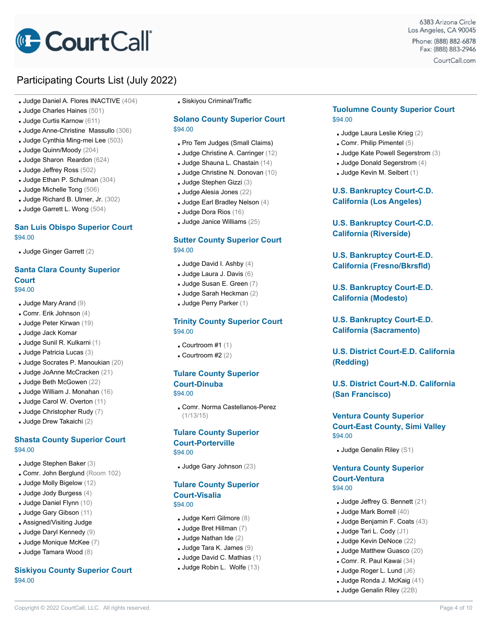

- Judge Daniel A. Flores INACTIVE (404)
- Judge Charles Haines (501)
- Judge Curtis Karnow (611)
- Judge Anne-Christine Massullo (306)
- Judge Cynthia Ming-mei Lee (503)
- Judge Quinn/Moody (204)
- Judge Sharon Reardon (624)
- Judge Jeffrey Ross (502)
- Judge Ethan P. Schulman (304)
- Judge Michelle Tong (506)
- Judge Richard B. Ulmer, Jr. (302)
- Judge Garrett L. Wong (504)

### **San Luis Obispo Superior Court** \$94.00

▪ Judge Ginger Garrett (2)

# **Santa Clara County Superior Court**

- \$94.00
- Judge Mary Arand (9)
- $\blacksquare$  Comr. Erik Johnson (4)
- Judge Peter Kirwan (19)
- Judge Jack Komar
- Judge Sunil R. Kulkarni (1)
- Judge Patricia Lucas (3)
- Judge Socrates P. Manoukian (20)
- Judge JoAnne McCracken (21)
- Judge Beth McGowen (22)
- Judge William J. Monahan (16)
- Judge Carol W. Overton (11)
- Judge Christopher Rudy (7)
- Judge Drew Takaichi (2)

### **Shasta County Superior Court** \$94.00

- Judge Stephen Baker (3)
- Comr. John Berglund (Room 102)
- Judge Molly Bigelow (12)
- $\blacksquare$  Judge Jody Burgess  $(4)$
- Judge Daniel Flynn (10)
- **Judge Gary Gibson (11)**
- **Assigned/Visiting Judge**
- Judge Daryl Kennedy (9)
- Judge Monique McKee (7)
- Judge Tamara Wood (8)

### **Siskiyou County Superior Court** \$94.00

**.** Siskiyou Criminal/Traffic

### **Solano County Superior Court** \$94.00

- . Pro Tem Judges (Small Claims)
- **Judge Christine A. Carringer (12)**
- Judge Shauna L. Chastain (14)
- Judge Christine N. Donovan (10)
- Judge Stephen Gizzi (3)
- Judge Alesia Jones (22)
- $\blacksquare$  Judge Earl Bradley Nelson (4)
- Judge Dora Rios (16)
- Judge Janice Williams (25)

### **Sutter County Superior Court** \$94.00

- Judge David I. Ashby (4)
- Judge Laura J. Davis (6)
- Judge Susan E. Green (7)
- Judge Sarah Heckman (2)
- **Judge Perry Parker (1)**

### **Trinity County Superior Court** \$94.00

- $\bullet$  Courtroom #1 (1)
- $\bullet$  Courtroom #2 (2)

#### **Tulare County Superior Court-Dinuba** \$94.00

▪ Comr. Norma Castellanos-Perez

### **Tulare County Superior Court-Porterville**

\$94.00

(1/13/15)

▪ Judge Gary Johnson (23)

# **Tulare County Superior Court-Visalia**

\$94.00

- Judge Kerri Gilmore (8)
- $\blacksquare$  Judge Bret Hillman (7)
- $\blacksquare$  Judge Nathan Ide (2)
- Judge Tara K. James (9)
- Judge David C. Mathias (1)
- Judge Robin L. Wolfe (13)

Copyright © 2022 CourtCall, LLC. All rights reserved. **Page 4 of 10** and the served of the served of the served of the served of the served of the served of the served of the served of the served of the served of the serve

### **Tuolumne County Superior Court** \$94.00

6383 Arizona Circle Los Angeles, CA 90045

Phone: (888) 882-6878 Fax: (888) 883-2946 CourtCall.com

- $\blacksquare$  Judge Laura Leslie Krieg  $(2)$
- $\blacksquare$  Comr. Philip Pimentel (5)
- Judge Kate Powell Segerstrom (3)
- $\blacksquare$  Judge Donald Segerstrom  $(4)$
- Judge Kevin M. Seibert (1)

### **U.S. Bankruptcy Court-C.D. California (Los Angeles)**

**U.S. Bankruptcy Court-C.D. California (Riverside)**

**U.S. Bankruptcy Court-E.D. California (Fresno/Bkrsfld)**

**U.S. Bankruptcy Court-E.D. California (Modesto)**

**U.S. Bankruptcy Court-E.D. California (Sacramento)**

**U.S. District Court-E.D. California (Redding)**

**U.S. District Court-N.D. California (San Francisco)**

### **Ventura County Superior Court-East County, Simi Valley** \$94.00

▪ Judge Genalin Riley (S1)

# **Ventura County Superior Court-Ventura**

# \$94.00

- $\blacksquare$  Judge Jeffrey G. Bennett (21)
- Judge Mark Borrell (40)
- Judge Benjamin F. Coats (43)
- **Judge Tari L. Cody**  $(J1)$
- Judge Kevin DeNoce (22)
- Judge Matthew Guasco (20)

 $\blacksquare$  Judge Ronda J. McKaig (41) ▪ Judge Genalin Riley (22B)

▪ Comr. R. Paul Kawai (34) ▪ Judge Roger L. Lund (J6)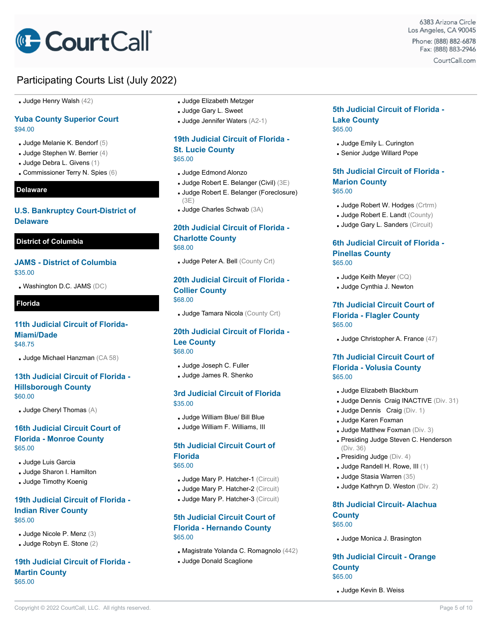# **CourtCall**

# Participating Courts List (July 2022)

**Judge Henry Walsh (42)** 

### **Yuba County Superior Court** \$94.00

- $\blacksquare$  Judge Melanie K. Bendorf (5)
- $\blacksquare$  Judge Stephen W. Berrier (4)
- Judge Debra L. Givens (1)
- Commissioner Terry N. Spies (6)

### **Delaware**

### **U.S. Bankruptcy Court-District of Delaware**

### **District of Columbia**

### **JAMS - District of Columbia** \$35.00

 $\blacksquare$  Washington D.C. JAMS (DC)

### **Florida**

### **11th Judicial Circuit of Florida-Miami/Dade** \$48.75

▪ Judge Michael Hanzman (CA 58)

### **13th Judicial Circuit of Florida - Hillsborough County** \$60.00

 $\blacksquare$  Judge Cheryl Thomas  $(A)$ 

### **16th Judicial Circuit Court of Florida - Monroe County** \$65.00

- **Judge Luis Garcia**
- Judge Sharon I. Hamilton
- **Judge Timothy Koenig**

### **19th Judicial Circuit of Florida - Indian River County** \$65.00

- Judge Nicole P. Menz (3)
- Judge Robyn E. Stone (2)

### **19th Judicial Circuit of Florida - Martin County** \$65.00

#### **Judge Elizabeth Metzger**

- Judge Gary L. Sweet
- Judge Jennifer Waters (A2-1)

### **19th Judicial Circuit of Florida - St. Lucie County** \$65.00

- Judge Edmond Alonzo
- Judge Robert E. Belanger (Civil) (3E)
- Judge Robert E. Belanger (Foreclosure) (3E)
- Judge Charles Schwab (3A)

### **20th Judicial Circuit of Florida - Charlotte County** \$68.00

**Judge Peter A. Bell (County Crt)** 

### **20th Judicial Circuit of Florida - Collier County** \$68.00

**Judge Tamara Nicola** (County Crt)

### **20th Judicial Circuit of Florida - Lee County** \$68.00

▪ Judge Joseph C. Fuller

▪ Judge James R. Shenko

### **3rd Judicial Circuit of Florida** \$35.00

- Judge William Blue/ Bill Blue
- Judge William F. Williams, III

# **5th Judicial Circuit Court of Florida**

### \$65.00

- **Judge Mary P. Hatcher-1 (Circuit)**
- **Judge Mary P. Hatcher-2 (Circuit)**
- **Judge Mary P. Hatcher-3 (Circuit)**

### **5th Judicial Circuit Court of Florida - Hernando County** \$65.00

- Magistrate Yolanda C. Romagnolo (442)
- **Judge Donald Scaglione**

### **5th Judicial Circuit of Florida - Lake County** \$65.00

- **Judge Emily L. Curington**
- **.** Senior Judge Willard Pope

### **5th Judicial Circuit of Florida - Marion County** \$65.00

- **Judge Robert W. Hodges (Crtrm)**
- **Judge Robert E. Landt (County)**
- Judge Gary L. Sanders (Circuit)

### **6th Judicial Circuit of Florida - Pinellas County** \$65.00

- $\blacksquare$  Judge Keith Meyer  $(CQ)$
- **Judge Cynthia J. Newton**

### **7th Judicial Circuit Court of Florida - Flagler County** \$65.00

▪ Judge Christopher A. France (47)

### **7th Judicial Circuit Court of Florida - Volusia County** \$65.00

- Judge Elizabeth Blackburn
- Judge Dennis Craig INACTIVE (Div. 31)
- **Judge Dennis Craig (Div. 1)**
- **Judge Karen Foxman**
- **Judge Matthew Foxman (Div. 3)**
- **Presiding Judge Steven C. Henderson** (Div. 36)
- $\blacksquare$  Presiding Judge (Div. 4)
- Judge Randell H. Rowe, III (1)
- Judge Stasia Warren (35)
- Judge Kathryn D. Weston (Div. 2)

### **8th Judicial Circuit- Alachua County** \$65.00

▪ Judge Monica J. Brasington

### **9th Judicial Circuit - Orange County** \$65.00

**Judge Kevin B. Weiss**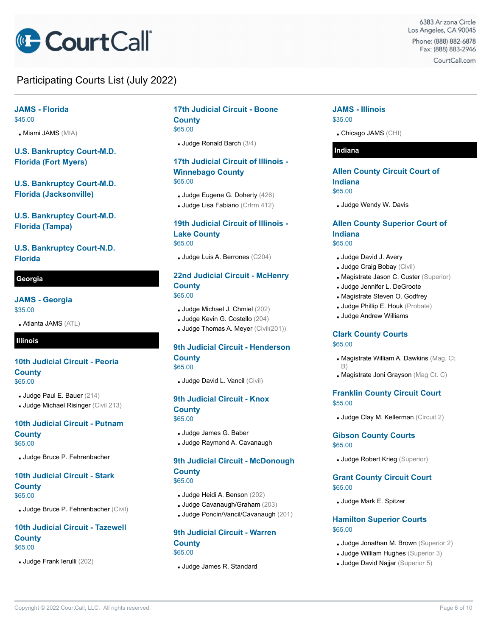

### **JAMS - Florida** \$45.00

**Miami JAMS** (MIA)

**U.S. Bankruptcy Court-M.D. Florida (Fort Myers)**

**U.S. Bankruptcy Court-M.D. Florida (Jacksonville)**

**U.S. Bankruptcy Court-M.D. Florida (Tampa)**

**U.S. Bankruptcy Court-N.D. Florida**

### **Georgia**

**JAMS - Georgia**

\$35.00

▪ Atlanta JAMS (ATL)

### **Illinois**

### **10th Judicial Circuit - Peoria County** \$65.00

- Judge Paul E. Bauer (214)
- **Judge Michael Risinger (Civil 213)**

### **10th Judicial Circuit - Putnam County** \$65.00

▪ Judge Bruce P. Fehrenbacher

# **10th Judicial Circuit - Stark**

**County** \$65.00

**Judge Bruce P. Fehrenbacher (Civil)** 

### **10th Judicial Circuit - Tazewell County** \$65.00

▪ Judge Frank Ierulli (202)

# **17th Judicial Circuit - Boone County**

\$65.00

▪ Judge Ronald Barch (3/4)

### **17th Judicial Circuit of Illinois - Winnebago County** \$65.00

- Judge Eugene G. Doherty (426)
- Judge Lisa Fabiano (Crtrm 412)

### **19th Judicial Circuit of Illinois - Lake County** \$65.00

▪ Judge Luis A. Berrones (C204)

### **22nd Judicial Circuit - McHenry County** \$65.00

- Judge Michael J. Chmiel (202)
- Judge Kevin G. Costello (204)
- **Judge Thomas A. Meyer (Civil(201))**

### **9th Judicial Circuit - Henderson County** \$65.00

▪ Judge David L. Vancil (Civil)

### **9th Judicial Circuit - Knox**

**County** \$65.00

- Judge James G. Baber
- Judge Raymond A. Cavanaugh

### **9th Judicial Circuit - McDonough County** \$65.00

- Judge Heidi A. Benson (202)
- Judge Cavanaugh/Graham (203)
- Judge Poncin/Vancil/Cavanaugh (201)

# **9th Judicial Circuit - Warren County**

\$65.00

▪ Judge James R. Standard

### **JAMS - Illinois** \$35.00

▪ Chicago JAMS (CHI)

### **Indiana**

### **Allen County Circuit Court of Indiana** \$65.00

**Judge Wendy W. Davis** 

### **Allen County Superior Court of Indiana** \$65.00

- **Judge David J. Avery**
- Judge Craig Bobay (Civil)
- **. Magistrate Jason C. Custer (Superior)**
- Judge Jennifer L. DeGroote
- **. Magistrate Steven O. Godfrey**
- **Judge Phillip E. Houk** (Probate)
- **Judge Andrew Williams**

### **Clark County Courts** \$65.00

- **. Magistrate William A. Dawkins (Mag. Ct.** B)
- **. Magistrate Joni Grayson** (Mag Ct. C)

### **Franklin County Circuit Court** \$55.00

**Judge Clay M. Kellerman (Circuit 2)** 

### **Gibson County Courts**

\$65.00

**Judge Robert Krieg (Superior)** 

### **Grant County Circuit Court** \$65.00

▪ Judge Mark E. Spitzer

### **Hamilton Superior Courts** \$65.00

- **Judge Jonathan M. Brown** (Superior 2)
- **Judge William Hughes** (Superior 3)
- **Judge David Najjar** (Superior 5)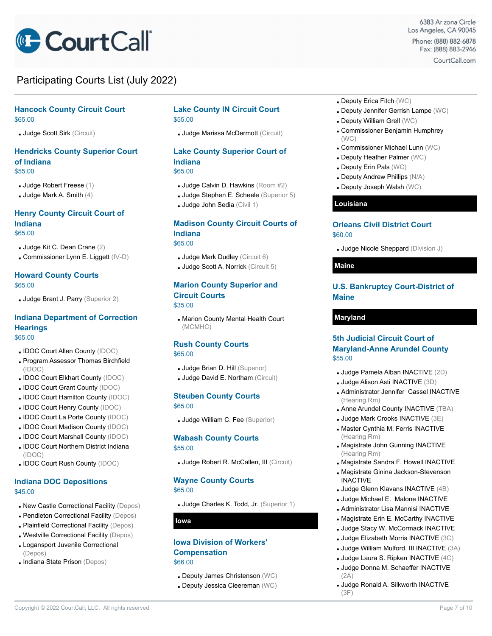

### **Hancock County Circuit Court** \$65.00

▪ Judge Scott Sirk (Circuit)

### **Hendricks County Superior Court of Indiana** \$55.00

- Judge Robert Freese (1)
- $\blacksquare$  Judge Mark A. Smith  $(4)$

### **Henry County Circuit Court of Indiana** \$65.00

- Judge Kit C. Dean Crane (2)
- Commissioner Lynn E. Liggett (IV-D)

# **Howard County Courts**

- \$65.00
- **Judge Brant J. Parry (Superior 2)**

#### **Indiana Department of Correction Hearings** \$65.00

- IDOC Court Allen County (IDOC)
- **Program Assessor Thomas Birchfield** (IDOC)
- . IDOC Court Elkhart County (IDOC)
- IDOC Court Grant County (IDOC)
- IDOC Court Hamilton County (IDOC)
- . IDOC Court Henry County (IDOC)
- IDOC Court La Porte County (IDOC)
- . IDOC Court Madison County (IDOC)
- IDOC Court Marshall County (IDOC) . IDOC Court Northern District Indiana (IDOC)
- IDOC Court Rush County (IDOC)

### **Indiana DOC Depositions** \$45.00

- **. New Castle Correctional Facility (Depos)**
- **Pendleton Correctional Facility (Depos)**
- **Plainfield Correctional Facility (Depos)**
- Westville Correctional Facility (Depos)
- **Logansport Juvenile Correctional** (Depos)
- Indiana State Prison (Depos)

### **Lake County IN Circuit Court** \$55.00

▪ Judge Marissa McDermott (Circuit)

### **Lake County Superior Court of Indiana** \$65.00

- 
- Judge Calvin D. Hawkins (Room #2)
- Judge Stephen E. Scheele (Superior 5)
- Judge John Sedia (Civil 1)

### **Madison County Circuit Courts of Indiana**

\$65.00

- **Judge Mark Dudley (Circuit 6)**
- Judge Scott A. Norrick (Circuit 5)

### **Marion County Superior and Circuit Courts** \$35.00

**. Marion County Mental Health Court** (MCMHC)

#### **Rush County Courts** \$65.00

- **Judge Brian D. Hill (Superior)**
- **Judge David E. Northam (Circuit)**

#### **Steuben County Courts** \$65.00

▪ Judge William C. Fee (Superior)

#### **Wabash County Courts** \$55.00

▪ Judge Robert R. McCallen, III (Circuit)

# **Wayne County Courts**

\$65.00

▪ Judge Charles K. Todd, Jr. (Superior 1)

**Iowa**

### **Iowa Division of Workers' Compensation** \$66.00

- Deputy James Christenson (WC)
- **. Deputy Jessica Cleereman (WC)**
- **. Deputy Erica Fitch (WC)**
- **. Deputy Jennifer Gerrish Lampe (WC)**
- **.** Deputy William Grell (WC)
- Commissioner Benjamin Humphrey (WC)
- Commissioner Michael Lunn (WC)
- **. Deputy Heather Palmer (WC)**
- **. Deputy Erin Pals (WC)**
- **. Deputy Andrew Phillips (N/A)**
- Deputy Joseph Walsh (WC)

### **Louisiana**

### **Orleans Civil District Court** \$60.00

**Judge Nicole Sheppard (Division J)** 

#### **Maine**

### **U.S. Bankruptcy Court-District of Maine**

### **Maryland**

### **5th Judicial Circuit Court of Maryland-Anne Arundel County** \$55.00

- Judge Pamela Alban INACTIVE (2D)
- Judge Alison Asti INACTIVE (3D)
- Administrator Jennifer Cassel INACTIVE (Hearing Rm)
- **Anne Arundel County INACTIVE (TBA)**
- Judge Mark Crooks INACTIVE (3E)
- **. Master Cynthia M. Ferris INACTIVE** (Hearing Rm)
- **. Magistrate John Gunning INACTIVE** (Hearing Rm)
- Magistrate Sandra F. Howell INACTIVE
- **In Magistrate Ginina Jackson-Stevenson**
- INACTIVE
- Judge Glenn Klavans INACTIVE (4B) ▪ Judge Michael E. Malone INACTIVE
- **Administrator Lisa Mannisi INACTIVE**
- Magistrate Erin E. McCarthy INACTIVE
- Judge Stacy W. McCormack INACTIVE
- Judge Elizabeth Morris INACTIVE (3C)
- Judge William Mulford, III INACTIVE (3A)
- Judge Laura S. Ripken INACTIVE (4C)
- Judge Donna M. Schaeffer INACTIVE
- (2A)
- Judge Ronald A. Silkworth INACTIVE (3F)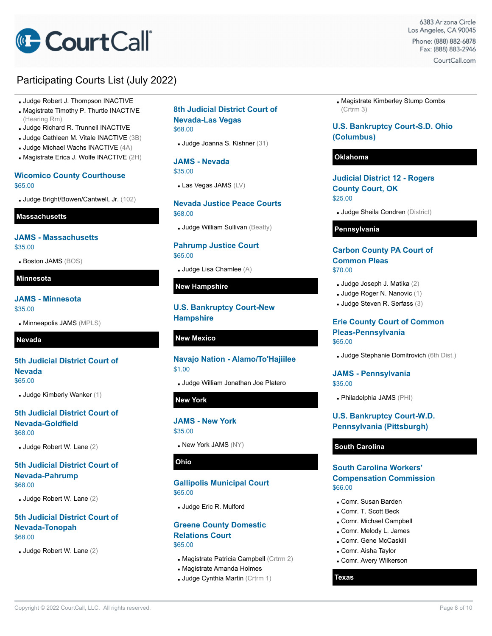

- Judge Robert J. Thompson INACTIVE
- Magistrate Timothy P. Thurtle INACTIVE (Hearing Rm)
- Judge Richard R. Trunnell INACTIVE
- Judge Cathleen M. Vitale INACTIVE (3B)
- Judge Michael Wachs INACTIVE (4A)
- **. Magistrate Erica J. Wolfe INACTIVE (2H)**

### **Wicomico County Courthouse** \$65.00

▪ Judge Bright/Bowen/Cantwell, Jr. (102)

### **Massachusetts**

### **JAMS - Massachusetts** \$35.00

**Boston JAMS (BOS)** 

### **Minnesota**

#### **JAMS - Minnesota** \$35.00

▪ Minneapolis JAMS (MPLS)

### **Nevada**

### **5th Judicial District Court of Nevada** \$65.00

▪ Judge Kimberly Wanker (1)

### **5th Judicial District Court of Nevada-Goldfield** \$68.00

▪ Judge Robert W. Lane (2)

### **5th Judicial District Court of Nevada-Pahrump** \$68.00

▪ Judge Robert W. Lane (2)

### **5th Judicial District Court of Nevada-Tonopah** \$68.00

▪ Judge Robert W. Lane (2)

### **8th Judicial District Court of Nevada-Las Vegas** \$68.00

▪ Judge Joanna S. Kishner (31)

**JAMS - Nevada** \$35.00

 $\blacksquare$  Las Vegas JAMS  $(LV)$ 

### **Nevada Justice Peace Courts** \$68.00

**Judge William Sullivan (Beatty)** 

### **Pahrump Justice Court** \$65.00

**Judge Lisa Chamlee (A)** 

### **New Hampshire**

### **U.S. Bankruptcy Court-New Hampshire**

### **New Mexico**

# **Navajo Nation - Alamo/To'Hajiilee** \$1.00

▪ Judge William Jonathan Joe Platero

### **New York**

### **JAMS - New York** \$35.00

. New York JAMS (NY)

### **Ohio**

### **Gallipolis Municipal Court** \$65.00

▪ Judge Eric R. Mulford

### **Greene County Domestic Relations Court** \$65.00

- **. Magistrate Patricia Campbell (Crtrm 2)**
- **In Magistrate Amanda Holmes**
- **Judge Cynthia Martin (Crtrm 1)**

**. Magistrate Kimberley Stump Combs** (Crtrm 3)

### **U.S. Bankruptcy Court-S.D. Ohio (Columbus)**

### **Oklahoma**

**Judicial District 12 - Rogers County Court, OK** \$25.00

**Judge Sheila Condren** (District)

### **Pennsylvania**

### **Carbon County PA Court of Common Pleas** \$70.00

- Judge Joseph J. Matika (2)
- Judge Roger N. Nanovic (1)
- Judge Steven R. Serfass (3)

### **Erie County Court of Common Pleas-Pennsylvania** \$65.00

▪ Judge Stephanie Domitrovich (6th Dist.)

### **JAMS - Pennsylvania** \$35.00

▪ Philadelphia JAMS (PHI)

### **U.S. Bankruptcy Court-W.D. Pennsylvania (Pittsburgh)**

### **South Carolina**

### **South Carolina Workers' Compensation Commission** \$66.00

- Comr. Susan Barden
- Comr. T. Scott Beck
- Comr. Michael Campbell
- Comr. Melody L. James
- Comr. Gene McCaskill
- Comr. Aisha Taylor
- **. Comr. Avery Wilkerson**

#### **Texas**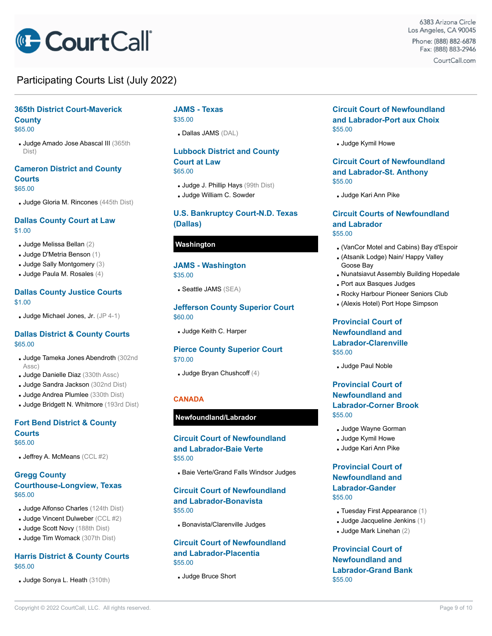

# **365th District Court-Maverick**

**County** \$65.00

▪ Judge Amado Jose Abascal III (365th Dist)

### **Cameron District and County Courts** \$65.00

▪ Judge Gloria M. Rincones (445th Dist)

### **Dallas County Court at Law** \$1.00

- $\blacksquare$  Judge Melissa Bellan (2)
- Judge D'Metria Benson (1)
- Judge Sally Montgomery (3)
- Judge Paula M. Rosales (4)

### **Dallas County Justice Courts** \$1.00

**Judge Michael Jones, Jr.**  $(JP 4-1)$ 

### **Dallas District & County Courts** \$65.00

- Judge Tameka Jones Abendroth (302nd Assc)
- **Judge Danielle Diaz** (330th Assc)
- **Judge Sandra Jackson** (302nd Dist)
- **Judge Andrea Plumlee** (330th Dist)
- **Judge Bridgett N. Whitmore (193rd Dist)**

### **Fort Bend District & County Courts** \$65.00

**Jeffrey A. McMeans (CCL**  $#2$ **)** 

### **Gregg County Courthouse-Longview, Texas** \$65.00

- **Judge Alfonso Charles** (124th Dist)
- $\blacksquare$  Judge Vincent Dulweber (CCL #2)
- **Judge Scott Novy (188th Dist)**
- Judge Tim Womack (307th Dist)

### **Harris District & County Courts** \$65.00

▪ Judge Sonya L. Heath (310th)

### **JAMS - Texas** \$35.00

▪ Dallas JAMS (DAL)

# **Lubbock District and County Court at Law**

\$65.00

- **Judge J. Phillip Hays** (99th Dist)
- **Judge William C. Sowder**

### **U.S. Bankruptcy Court-N.D. Texas (Dallas)**

### **Washington**

# **JAMS - Washington**

\$35.00

▪ Seattle JAMS (SEA)

### **Jefferson County Superior Court** \$60.00

▪ Judge Keith C. Harper

### **Pierce County Superior Court** \$70.00

 $\blacksquare$  Judge Bryan Chushcoff (4)

### **CANADA**

### **Newfoundland/Labrador**

### **Circuit Court of Newfoundland and Labrador-Baie Verte** \$55.00

**Baie Verte/Grand Falls Windsor Judges** 

### **Circuit Court of Newfoundland and Labrador-Bonavista** \$55.00

**Bonavista/Clarenville Judges** 

### **Circuit Court of Newfoundland and Labrador-Placentia** \$55.00

▪ Judge Bruce Short

### **Circuit Court of Newfoundland and Labrador-Port aux Choix** \$55.00

**Judge Kymil Howe** 

### **Circuit Court of Newfoundland and Labrador-St. Anthony** \$55.00

**Judge Kari Ann Pike** 

### **Circuit Courts of Newfoundland and Labrador** \$55.00

- (VanCor Motel and Cabins) Bay d'Espoir
- (Atsanik Lodge) Nain/ Happy Valley Goose Bay
- **. Nunatsiavut Assembly Building Hopedale**
- **Port aux Basques Judges**
- **. Rocky Harbour Pioneer Seniors Club**
- (Alexis Hotel) Port Hope Simpson

### **Provincial Court of Newfoundland and Labrador-Clarenville** \$55.00

**Judge Paul Noble** 

### **Provincial Court of Newfoundland and Labrador-Corner Brook** \$55.00

- Judge Wayne Gorman
- **Judge Kymil Howe**
- Judge Kari Ann Pike

### **Provincial Court of Newfoundland and Labrador-Gander** \$55.00

- $\blacksquare$  Tuesday First Appearance (1)
- $\blacksquare$  Judge Jacqueline Jenkins (1)
- $\blacksquare$  Judge Mark Linehan (2)

### **Provincial Court of Newfoundland and Labrador-Grand Bank** \$55.00